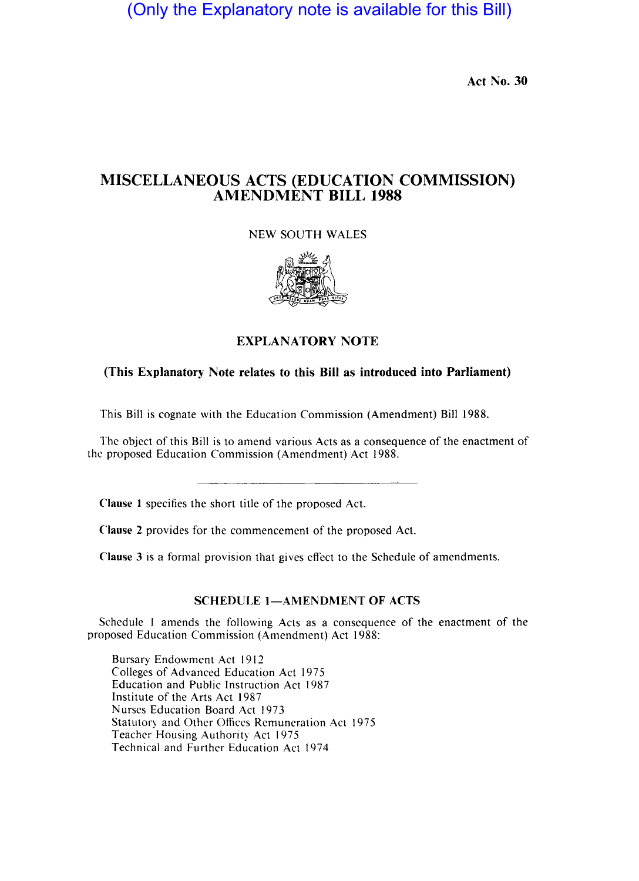(Only the Explanatory note is available for this Bill)

Act No. 30

## MISCELLANEOUS ACTS (EDUCATION COMMISSION) AMENDMENT BILL 1988

NEW SOUTH WALES



## EXPLANATORY NOTE

## (This Explanatory Note relates to this Bill as introduced into Parliament)

This Bill is cognate with the Education Commission (Amendment) Bill 1988.

The object of this Bill is to amend various Acts as a consequence of the enactment of the proposed Education Commission (Amendment) Act 1988.

Clause I specifies the short title of the proposed Act.

Clause 2 provides for the commencement of the proposed Act.

Clause 3 is a formal provision that gives effect to the Schedule of amendments.

## SCHEDULE 1-AMENDMENT OF ACTS

Schedule I amends the following Acts as a consequence of the enactment of the proposed Education Commission (Amendment) Act 1988:

Bursary Endowment Act 1912 Colleges of Advanced Education Act 1975 Education and Public Instruction Act 1987 Institute of the Arts Act 1987 Nurses Education Board Act 1973 Statutory and Other Offices Remuneration Act 1975 Teacher Housing Authority Act 1975 Technical and Further Education Act 1974